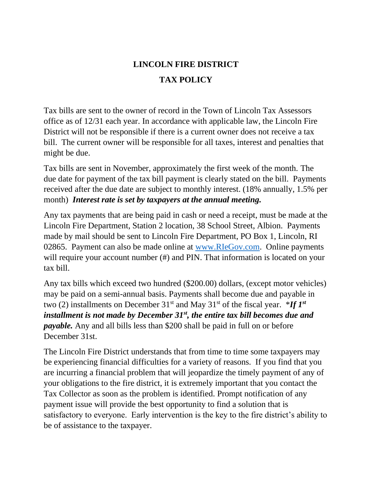## **LINCOLN FIRE DISTRICT TAX POLICY**

Tax bills are sent to the owner of record in the Town of Lincoln Tax Assessors office as of 12/31 each year. In accordance with applicable law, the Lincoln Fire District will not be responsible if there is a current owner does not receive a tax bill. The current owner will be responsible for all taxes, interest and penalties that might be due.

Tax bills are sent in November, approximately the first week of the month. The due date for payment of the tax bill payment is clearly stated on the bill. Payments received after the due date are subject to monthly interest. (18% annually, 1.5% per month) *Interest rate is set by taxpayers at the annual meeting.*

Any tax payments that are being paid in cash or need a receipt, must be made at the Lincoln Fire Department, Station 2 location, 38 School Street, Albion. Payments made by mail should be sent to Lincoln Fire Department, PO Box 1, Lincoln, RI 02865. Payment can also be made online at [www.RIeGov.com.](http://www.riegov.com/) Online payments will require your account number (#) and PIN. That information is located on your tax bill.

Any tax bills which exceed two hundred (\$200.00) dollars, (except motor vehicles) may be paid on a semi-annual basis. Payments shall become due and payable in two (2) installments on December  $31<sup>st</sup>$  and May  $31<sup>st</sup>$  of the fiscal year. \**If*  $I<sup>st</sup>$ *installment is not made by December 31st, the entire tax bill becomes due and payable.* Any and all bills less than \$200 shall be paid in full on or before December 31st.

The Lincoln Fire District understands that from time to time some taxpayers may be experiencing financial difficulties for a variety of reasons. If you find that you are incurring a financial problem that will jeopardize the timely payment of any of your obligations to the fire district, it is extremely important that you contact the Tax Collector as soon as the problem is identified. Prompt notification of any payment issue will provide the best opportunity to find a solution that is satisfactory to everyone. Early intervention is the key to the fire district's ability to be of assistance to the taxpayer.